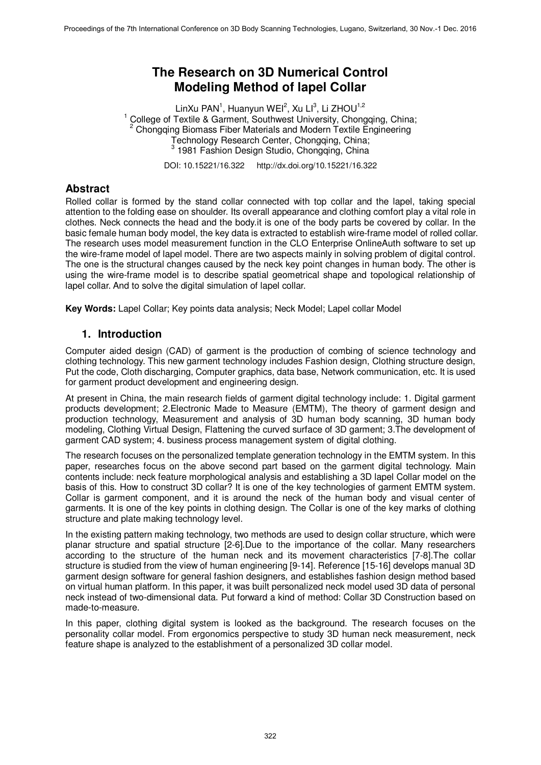# **The Research on 3D Numerical Control Modeling Method of lapel Collar**

LinXu PAN<sup>1</sup>, Huanyun WEI<sup>2</sup>, Xu LI<sup>3</sup>, Li ZHOU<sup>1,2</sup> <sup>1</sup> College of Textile & Garment, Southwest University, Chongqing, China; 2 Chongqing Biomass Fiber Materials and Modern Textile Engineering Technology Research Center, Chongqing, China; <sup>3</sup> 1981 Fashion Design Studio, Chongqing, China

DOI: 10.15221/16.322 http://dx.doi.org/10.15221/16.322

## **Abstract**

Rolled collar is formed by the stand collar connected with top collar and the lapel, taking special attention to the folding ease on shoulder. Its overall appearance and clothing comfort play a vital role in clothes. Neck connects the head and the body.it is one of the body parts be covered by collar. In the basic female human body model, the key data is extracted to establish wire-frame model of rolled collar. The research uses model measurement function in the CLO Enterprise OnlineAuth software to set up the wire-frame model of lapel model. There are two aspects mainly in solving problem of digital control. The one is the structural changes caused by the neck key point changes in human body. The other is using the wire-frame model is to describe spatial geometrical shape and topological relationship of lapel collar. And to solve the digital simulation of lapel collar.

**Key Words:** Lapel Collar; Key points data analysis; Neck Model; Lapel collar Model

## **1. Introduction**

Computer aided design (CAD) of garment is the production of combing of science technology and clothing technology. This new garment technology includes Fashion design, Clothing structure design, Put the code, Cloth discharging, Computer graphics, data base, Network communication, etc. It is used for garment product development and engineering design.

At present in China, the main research fields of garment digital technology include: 1. Digital garment products development; 2.Electronic Made to Measure (EMTM), The theory of garment design and production technology, Measurement and analysis of 3D human body scanning, 3D human body modeling, Clothing Virtual Design, Flattening the curved surface of 3D garment; 3.The development of garment CAD system; 4. business process management system of digital clothing.

The research focuses on the personalized template generation technology in the EMTM system. In this paper, researches focus on the above second part based on the garment digital technology. Main contents include: neck feature morphological analysis and establishing a 3D lapel Collar model on the basis of this. How to construct 3D collar? It is one of the key technologies of garment EMTM system. Collar is garment component, and it is around the neck of the human body and visual center of garments. It is one of the key points in clothing design. The Collar is one of the key marks of clothing structure and plate making technology level.

In the existing pattern making technology, two methods are used to design collar structure, which were planar structure and spatial structure [2-6].Due to the importance of the collar. Many researchers according to the structure of the human neck and its movement characteristics [7-8].The collar structure is studied from the view of human engineering [9-14]. Reference [15-16] develops manual 3D garment design software for general fashion designers, and establishes fashion design method based on virtual human platform. In this paper, it was built personalized neck model used 3D data of personal neck instead of two-dimensional data. Put forward a kind of method: Collar 3D Construction based on made-to-measure.

In this paper, clothing digital system is looked as the background. The research focuses on the personality collar model. From ergonomics perspective to study 3D human neck measurement, neck feature shape is analyzed to the establishment of a personalized 3D collar model.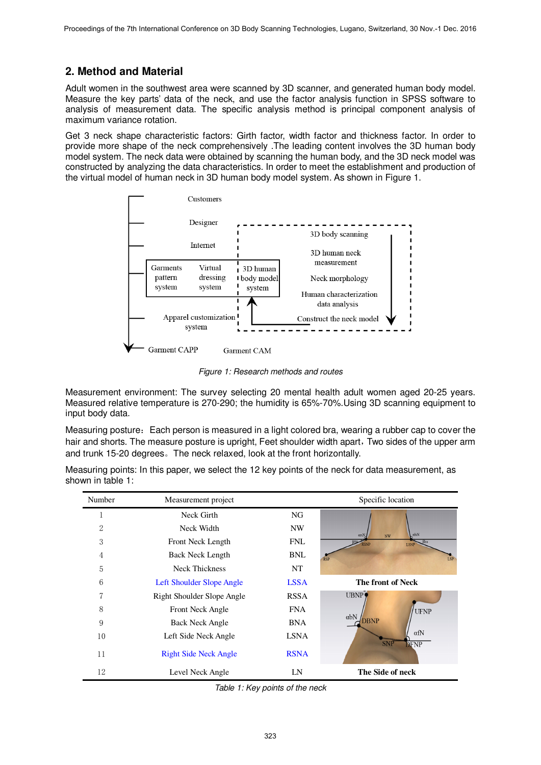# **2. Method and Material**

Adult women in the southwest area were scanned by 3D scanner, and generated human body model. Measure the key parts' data of the neck, and use the factor analysis function in SPSS software to analysis of measurement data. The specific analysis method is principal component analysis of maximum variance rotation.

Get 3 neck shape characteristic factors: Girth factor, width factor and thickness factor. In order to provide more shape of the neck comprehensively .The leading content involves the 3D human body model system. The neck data were obtained by scanning the human body, and the 3D neck model was constructed by analyzing the data characteristics. In order to meet the establishment and production of the virtual model of human neck in 3D human body model system. As shown in Figure 1.



*Figure 1: Research methods and routes*

Measurement environment: The survey selecting 20 mental health adult women aged 20-25 years. Measured relative temperature is 270-290; the humidity is 65%-70%.Using 3D scanning equipment to input body data.

Measuring posture: Each person is measured in a light colored bra, wearing a rubber cap to cover the hair and shorts. The measure posture is upright, Feet shoulder width apart, Two sides of the upper arm and trunk 15-20 degrees。The neck relaxed, look at the front horizontally.

| Number | Measurement project          |             | Specific location                                        |
|--------|------------------------------|-------------|----------------------------------------------------------|
|        | Neck Girth                   | NG.         |                                                          |
| 2      | Neck Width                   | NW          | alsN                                                     |
| 3      | Front Neck Length            | <b>FNL</b>  | αrsN<br>NW<br>Blss<br><b>RSNP</b><br><b>LSNP</b>         |
| 4      | Back Neck Length             | <b>BNL</b>  | <b>LSP</b><br><b>RSP</b>                                 |
| 5      | <b>Neck Thickness</b>        | NT          |                                                          |
| 6      | Left Shoulder Slope Angle    | <b>LSSA</b> | The front of Neck                                        |
| 7      | Right Shoulder Slope Angle   | <b>RSSA</b> | UBNP,                                                    |
| 8      | Front Neck Angle             | <b>FNA</b>  | <b>UFNP</b>                                              |
| 9      | <b>Back Neck Angle</b>       | <b>BNA</b>  | abN<br><b>DBNP</b>                                       |
| 10     | Left Side Neck Angle         | <b>LSNA</b> | <b>CONSULTANT OF STREET STREET STREET</b><br>$\alpha$ fN |
| 11     | <b>Right Side Neck Angle</b> | <b>RSNA</b> | <b>DFNP</b>                                              |
| 12     | Level Neck Angle             | LN          | The Side of neck                                         |

Measuring points: In this paper, we select the 12 key points of the neck for data measurement, as shown in table 1:

*Table 1: Key points of the neck*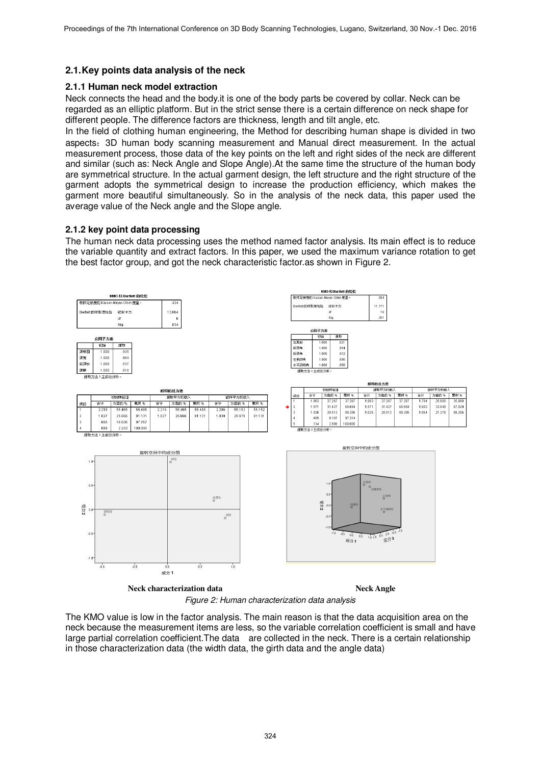### **2.1. Key points data analysis of the neck**

#### **2.1.1 Human neck model extraction**

Neck connects the head and the body.it is one of the body parts be covered by collar. Neck can be regarded as an elliptic platform. But in the strict sense there is a certain difference on neck shape for different people. The difference factors are thickness, length and tilt angle, etc.

In the field of clothing human engineering, the Method for describing human shape is divided in two aspects:3D human body scanning measurement and Manual direct measurement. In the actual measurement process, those data of the key points on the left and right sides of the neck are different and similar (such as: Neck Angle and Slope Angle).At the same time the structure of the human body are symmetrical structure. In the actual garment design, the left structure and the right structure of the garment adopts the symmetrical design to increase the production efficiency, which makes the garment more beautiful simultaneously. So in the analysis of the neck data, this paper used the average value of the Neck angle and the Slope angle.

#### **2.1.2 key point data processing**

The human neck data processing uses the method named factor analysis. Its main effect is to reduce the variable quantity and extract factors. In this paper, we used the maximum variance rotation to get the best factor group, and got the neck characteristic factor.as shown in Figure 2.



*Figure 2: Human characterization data analysis* 

The KMO value is low in the factor analysis. The main reason is that the data acquisition area on the neck because the measurement items are less, so the variable correlation coefficient is small and have large partial correlation coefficient.The data are collected in the neck. There is a certain relationship in those characterization data (the width data, the girth data and the angle data)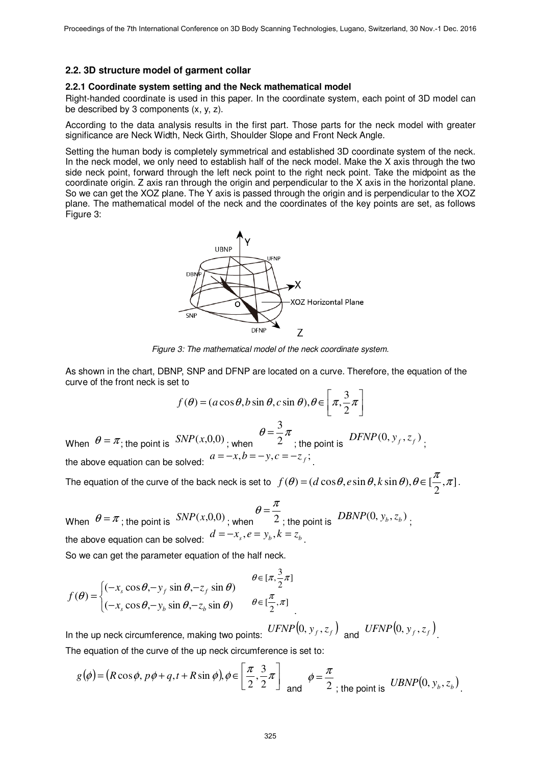#### **2.2. 3D structure model of garment collar**

#### **2.2.1 Coordinate system setting and the Neck mathematical model**

Right-handed coordinate is used in this paper. In the coordinate system, each point of 3D model can be described by 3 components (x, y, z).

According to the data analysis results in the first part. Those parts for the neck model with greater significance are Neck Width, Neck Girth, Shoulder Slope and Front Neck Angle.

Setting the human body is completely symmetrical and established 3D coordinate system of the neck. In the neck model, we only need to establish half of the neck model. Make the X axis through the two side neck point, forward through the left neck point to the right neck point. Take the midpoint as the coordinate origin. Z axis ran through the origin and perpendicular to the X axis in the horizontal plane. So we can get the XOZ plane. The Y axis is passed through the origin and is perpendicular to the XOZ plane. The mathematical model of the neck and the coordinates of the key points are set, as follows Figure 3:



*Figure 3: The mathematical model of the neck coordinate system.* 

As shown in the chart, DBNP, SNP and DFNP are located on a curve. Therefore, the equation of the curve of the front neck is set to

$$
f(\theta) = (a\cos\theta, b\sin\theta, c\sin\theta), \theta \in \left[\pi, \frac{3}{2}\pi\right]
$$
  
When  $\theta = \pi$ ; the point is  $SNP(x, 0, 0)$ ; when  $\theta = \frac{3}{2}\pi$ ; the point is  $DFNP(0, y_f, z_f)$ ;  
the above equation can be solved:  $a = -x, b = -y, c = -z_f$ ;

The equation of the curve of the back neck is set to  $f(\theta) = (d \cos \theta, e \sin \theta, k \sin \theta), \theta \in [\frac{\infty}{2}, \pi]$ 2  $f(\theta) = (d \cos \theta, e \sin \theta, k \sin \theta), \theta \in [\frac{\pi}{2}, \pi].$ 

When  $\theta = \pi$ ; the point is  $SNP(x,0,0)$ ; when  $2\pi$  $\theta = \frac{\pi}{2}$ ; the point is *DBNP*(0,  $y_b$ ,  $z_b$ ); the above equation can be solved:  $d = -x_s, e = y_b, k = z_b$ .

So we can get the parameter equation of the half neck.

$$
f(\theta) = \begin{cases} (-x_s \cos \theta, -y_f \sin \theta, -z_f \sin \theta) & \theta \in [\pi, \frac{3}{2}\pi] \\ (-x_s \cos \theta, -y_b \sin \theta, -z_b \sin \theta) & \theta \in [\frac{\pi}{2}, \pi] \end{cases}
$$

In the up neck circumference, making two points:  $UFNP(0, y_f, z_f)$  and  $UFNP(0, y_f, z_f)$ . The equation of the curve of the up neck circumference is set to:

$$
g(\phi) = (R\cos\phi, p\phi + q, t + R\sin\phi), \phi \in \left[\frac{\pi}{2}, \frac{3}{2}\pi\right] \text{ and } \phi = \frac{\pi}{2}, \text{ the point is } \text{UBNP}(0, y_b, z_b).
$$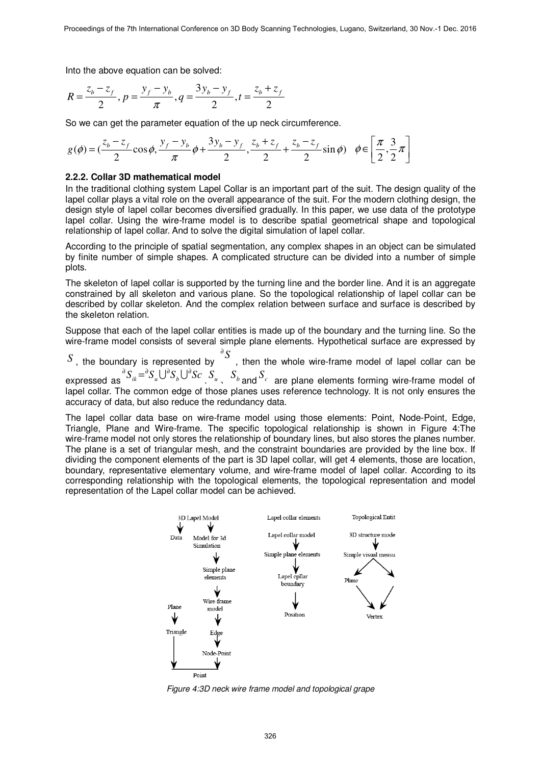Into the above equation can be solved:

$$
R = \frac{z_b - z_f}{2}, p = \frac{y_f - y_b}{\pi}, q = \frac{3y_b - y_f}{2}, t = \frac{z_b + z_f}{2}
$$

So we can get the parameter equation of the up neck circumference.

$$
g(\phi) = \left(\frac{z_b - z_f}{2}\cos\phi, \frac{y_f - y_b}{\pi}\phi + \frac{3y_b - y_f}{2}, \frac{z_b + z_f}{2} + \frac{z_b - z_f}{2}\sin\phi\right) \quad \phi \in \left[\frac{\pi}{2}, \frac{3}{2}\pi\right]
$$

#### **2.2.2. Collar 3D mathematical model**

In the traditional clothing system Lapel Collar is an important part of the suit. The design quality of the lapel collar plays a vital role on the overall appearance of the suit. For the modern clothing design, the design style of lapel collar becomes diversified gradually. In this paper, we use data of the prototype lapel collar. Using the wire-frame model is to describe spatial geometrical shape and topological relationship of lapel collar. And to solve the digital simulation of lapel collar.

According to the principle of spatial segmentation, any complex shapes in an object can be simulated by finite number of simple shapes. A complicated structure can be divided into a number of simple plots.

The skeleton of lapel collar is supported by the turning line and the border line. And it is an aggregate constrained by all skeleton and various plane. So the topological relationship of lapel collar can be described by collar skeleton. And the complex relation between surface and surface is described by the skeleton relation.

Suppose that each of the lapel collar entities is made up of the boundary and the turning line. So the wire-frame model consists of several simple plane elements. Hypothetical surface are expressed by

*S* , the boundary is represented by  $\delta$ S , then the whole wire-frame model of lapel collar can be expressed as *ScSSS <sup>k</sup> bui* ∂∂∂ ∂ = UU . *u S* 、 *<sup>b</sup> S* and *c S* are plane elements forming wire-frame model of lapel collar. The common edge of those planes uses reference technology. It is not only ensures the accuracy of data, but also reduce the redundancy data.

The lapel collar data base on wire-frame model using those elements: Point, Node-Point, Edge, Triangle, Plane and Wire-frame. The specific topological relationship is shown in Figure 4:The wire-frame model not only stores the relationship of boundary lines, but also stores the planes number. The plane is a set of triangular mesh, and the constraint boundaries are provided by the line box. If dividing the component elements of the part is 3D lapel collar, will get 4 elements, those are location, boundary, representative elementary volume, and wire-frame model of lapel collar. According to its corresponding relationship with the topological elements, the topological representation and model representation of the Lapel collar model can be achieved.



*Figure 4:3D neck wire frame model and topological grape*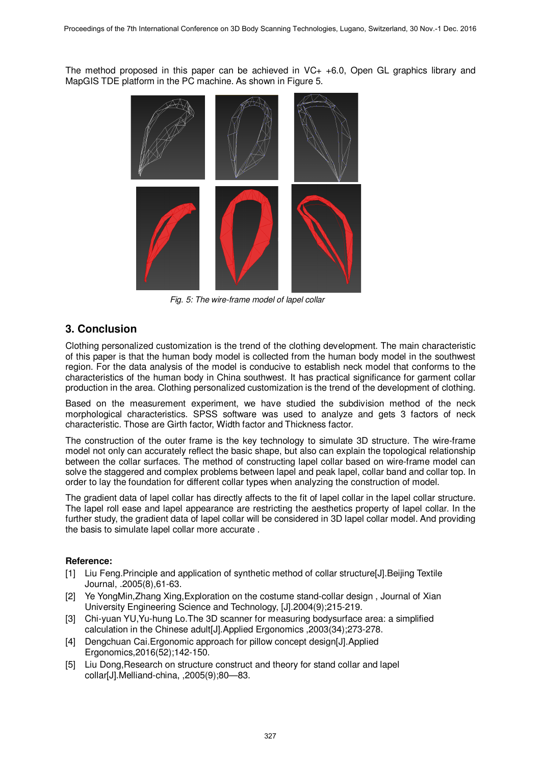The method proposed in this paper can be achieved in  $VC+ +6.0$ , Open GL graphics library and MapGIS TDE platform in the PC machine. As shown in Figure 5.



*Fig. 5: The wire-frame model of lapel collar* 

### **3. Conclusion**

Clothing personalized customization is the trend of the clothing development. The main characteristic of this paper is that the human body model is collected from the human body model in the southwest region. For the data analysis of the model is conducive to establish neck model that conforms to the characteristics of the human body in China southwest. It has practical significance for garment collar production in the area. Clothing personalized customization is the trend of the development of clothing.

Based on the measurement experiment, we have studied the subdivision method of the neck morphological characteristics. SPSS software was used to analyze and gets 3 factors of neck characteristic. Those are Girth factor, Width factor and Thickness factor.

The construction of the outer frame is the key technology to simulate 3D structure. The wire-frame model not only can accurately reflect the basic shape, but also can explain the topological relationship between the collar surfaces. The method of constructing lapel collar based on wire-frame model can solve the staggered and complex problems between lapel and peak lapel, collar band and collar top. In order to lay the foundation for different collar types when analyzing the construction of model.

The gradient data of lapel collar has directly affects to the fit of lapel collar in the lapel collar structure. The lapel roll ease and lapel appearance are restricting the aesthetics property of lapel collar. In the further study, the gradient data of lapel collar will be considered in 3D lapel collar model. And providing the basis to simulate lapel collar more accurate .

### **Reference:**

- [1] Liu Feng.Principle and application of synthetic method of collar structure[J].Beijing Textile Journal, .2005(8),61-63.
- [2] Ye YongMin,Zhang Xing,Exploration on the costume stand-collar design , Journal of Xian University Engineering Science and Technology, [J].2004(9);215-219.
- [3] Chi-yuan YU,Yu-hung Lo.The 3D scanner for measuring bodysurface area: a simplified calculation in the Chinese adult[J].Applied Ergonomics ,2003(34);273-278.
- [4] Dengchuan Cai.Ergonomic approach for pillow concept design[J].Applied Ergonomics,2016(52);142-150.
- [5] Liu Dong,Research on structure construct and theory for stand collar and lapel collar[J].Melliand-china, ,2005(9);80—83.